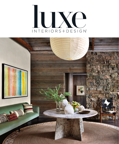## LUXC INTERIORS+DESIGN'